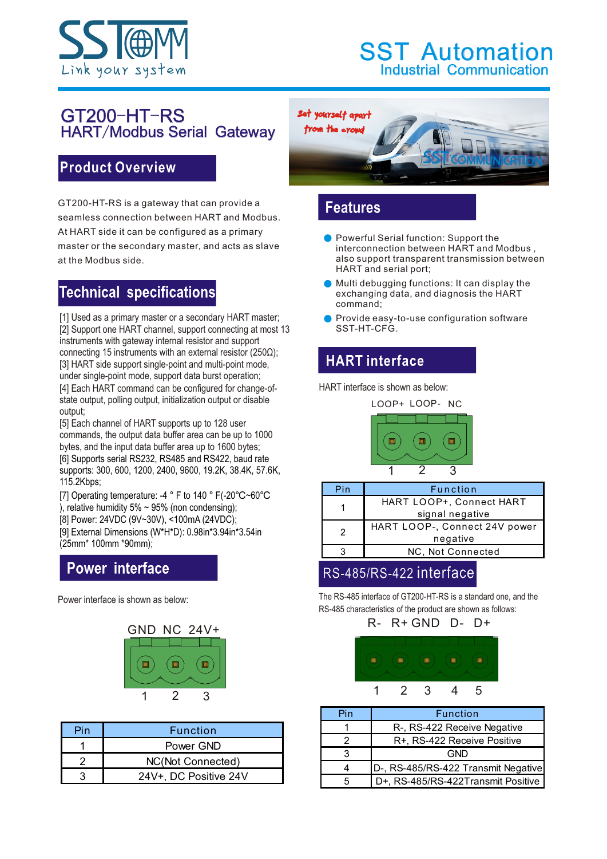

#### GT200-HT-RS HART/Modbus Serial Gateway

#### **Product Overview**

GT200-HT-RS is a gateway that can provide a seamless connection between HART and Modbus. At HART side it can be configured as a primary master or the secondary master, and acts as slave at the Modbus side.

## **Technical specifications**

[1] Used as a primary master or a secondary HART master; [2] Support one HART channel, support connecting at most 13 instruments with gateway internal resistor and support connecting 15 instruments with an external resistor (250Ω); [3] HART side support single-point and multi-point mode, under single-point mode, support data burst operation; [4] Each HART command can be configured for change-ofstate output, polling output, initialization output or disable output;

[5] Each channel of HART supports up to 128 user commands, the output data buffer area can be up to 1000 bytes, and the input data buffer area up to 1600 bytes; [6] Supports serial RS232, RS485 and RS422, baud rate supports: 300, 600, 1200, 2400, 9600, 19.2K, 38.4K, 57.6K, 115.2Kbps;

[7] Operating temperature: -4 ° F to 140 ° F(-20℃~60℃ ), relative humidity 5%  $\sim$  95% (non condensing);

[8] Power: 24VDC (9V~30V), <100mA (24VDC);

[9] External Dimensions (W\*H\*D): 0.98in\*3.94in\*3.54in (25mm\* 100mm \*90mm);

### **Power interface**



| Pin | <b>Function</b>       |
|-----|-----------------------|
|     | Power GND             |
|     | NC(Not Connected)     |
|     | 24V+, DC Positive 24V |



## **Features**

- **Powerful Serial function: Support the** interconnection between HART and Modbus , also support transparent transmission between HART and serial port;
- **Multi debugging functions: It can display the** exchanging data, and diagnosis the HART command;
- Provide easy-to-use configuration software SST-HT-CFG.

# **HART** interface

HART interface is shown as below:



| Pin           | Function                        |  |  |
|---------------|---------------------------------|--|--|
|               | <b>HART LOOP+, Connect HART</b> |  |  |
|               | signal negative                 |  |  |
| $\mathcal{P}$ | HART LOOP-, Connect 24V power   |  |  |
|               | negative                        |  |  |
|               | NC, Not Connected               |  |  |
|               |                                 |  |  |

### RS-485/RS-422 interface

Power interface is shown as below: The RS-485 interface of GT200-HT-RS is a standard one, and the RS-485 characteristics of the product are shown as follows:

R- R+ GND D- D+

|  | and the control of the control of | and the control of the control of |                |
|--|-----------------------------------|-----------------------------------|----------------|
|  |                                   |                                   |                |
|  |                                   |                                   |                |
|  |                                   |                                   | $\overline{5}$ |

| Pin | <b>Function</b>                     |
|-----|-------------------------------------|
|     | R-, RS-422 Receive Negative         |
|     | R+, RS-422 Receive Positive         |
|     | GND                                 |
|     | D-, RS-485/RS-422 Transmit Negative |
| 5   | D+, RS-485/RS-422Transmit Positive  |